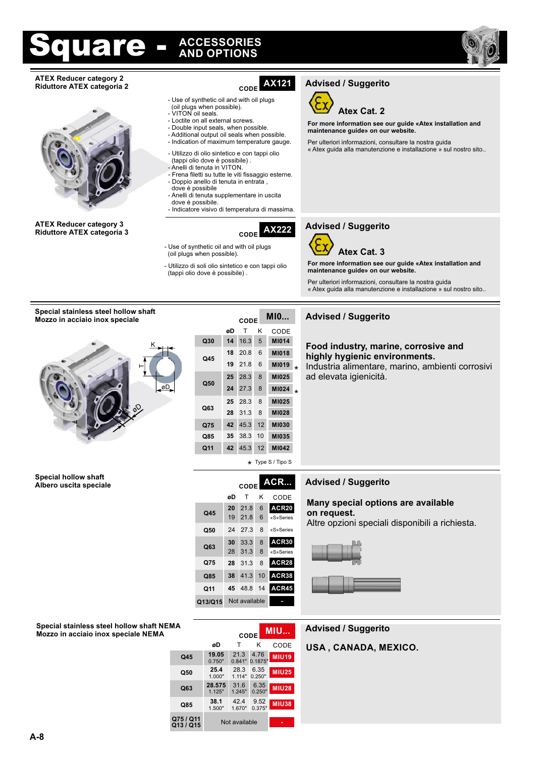# are

### **AND OPTIONS ACCESSORIES**



#### **ATEX Reducer category 2 Riduttore ATEX categoria 2** CODE



**ATEX Reducer category 3 Riduttore ATEX categoria 3 CODE** 

### **AX121**

- Use of synthetic oil and with oil plugs (oil plugs when possible).
- VITON oil seals.
- Loctite on all external screws.
- Double input seals, when possible. - Additional output oil seals when possible.
- Indication of maximum temperature gauge.
- Utilizzo di olio sintetico e con tappi olio (tappi olio dove è possibile) .
- Anelli di tenuta in VITON.
- Frena filetti su tutte le viti fissaggio esterne. - Doppio anello di tenuta in entrata ,
- dove è possibile Anelli di tenuta supplementare in uscita dove è possibile.

- Indicatore visivo di temperatura di massima.

**AX222**



**For more information see our guide «Atex installation and maintenance guide» on our website.**

**For more information see our guide «Atex installation and** 

« Atex guida alla manutenzione e installazione » sul nostro sito..

Per ulteriori informazioni, consultare la nostra guida

Per ulteriori informazioni, consultare la nostra guida « Atex guida alla manutenzione e installazione » sul nostro sito..

#### **Special stainless steel hollow shaft Mozzo in acciaio inox speciale**



**Albero uscita speciale CODE**

|     | øD | т    | κ  | CODE                    |         |
|-----|----|------|----|-------------------------|---------|
| Q30 | 14 | 16.3 | 5  | M1014                   |         |
| Q45 | 18 | 20.8 | 6  | <b>MI018</b>            |         |
|     | 19 | 21.8 | 6  | M1019                   | $\star$ |
| Q50 | 25 | 28.3 | 8  | M1025                   |         |
|     | 24 | 27.3 | 8  | M1024                   | $\star$ |
|     | 25 | 28.3 | 8  | M1025                   |         |
| Q63 | 28 | 31.3 | 8  | M1028                   |         |
| Q75 | 42 | 45.3 | 12 | <b>MI030</b>            |         |
| Q85 | 35 | 38.3 | 10 | M1035                   |         |
| Q11 | 42 | 45.3 | 12 | M1042                   |         |
|     |    |      |    | $\star$ Type S / Tipo S |         |

K

CODE

**ACR...**

**ACR20**

«S»Series

**ACR30**

**ACR38 ACR28**

**ACR45**

**-**

6 «S»Series

8

28 31.3 8 «S»Series

24 27.3

**<sup>30</sup>** 33.3 <sup>8</sup> **Q63**

**38** 41.3 10

**28** 31.3 8

19 21.8

T

**øD**

**20** 21.8 6

### **Advised / Suggerito Advised / Suggerito**

### **Food industry, marine, corrosive and**

ad elevata igienicità.

#### **Advised / Suggerito**

#### **Many special options are available on request.**

Altre opzioni speciali disponibili a richiesta.



#### **Special stainless steel hollow shaft NEM Mozzo in acciaio inox speciale NEMA**

| ИА                     |                  | CODE           |                 | MIU          |
|------------------------|------------------|----------------|-----------------|--------------|
|                        | øD               | т              | ĸ               | CODE         |
| Q45                    | 19.05<br>0.750"  | 21.3<br>0.841" | 4.76<br>0.1875" | <b>MIU19</b> |
| Q50                    | 25.4<br>1.000"   | 28.3<br>1.114" | 6.35<br>0.250"  | <b>MIU25</b> |
| Q63                    | 28.575<br>1.125" | 31.6<br>1.245" | 6.35<br>0.250"  | <b>MIU28</b> |
| Q85                    | 38.1<br>1.500"   | 42.4<br>1.670" | 9.52<br>0.375"  | <b>MIU38</b> |
| Q75 / Q11<br>Q13 / Q15 |                  | Not available  |                 |              |

Q13/Q15 Not available

**Q11 45** 48.8 14

**Q85**

**Q75**

**Q45**

**Q50**

#### **Advised / Suggerito**

**USA , CANADA, MEXICO.**

**Special hollow shaft**

### **Advised / Suggerito**



**Advised / Suggerito**

**maintenance guide» on our website.**

**Atex Cat. 2**

### **MI0...**

**highly hygienic environments.**

Industria alimentare, marino, ambienti corrosivi

- Use of synthetic oil and with oil plugs (oil plugs when possible).

- Utilizzo di soli olio sintetico e con tappi olio (tappi olio dove è possibile) .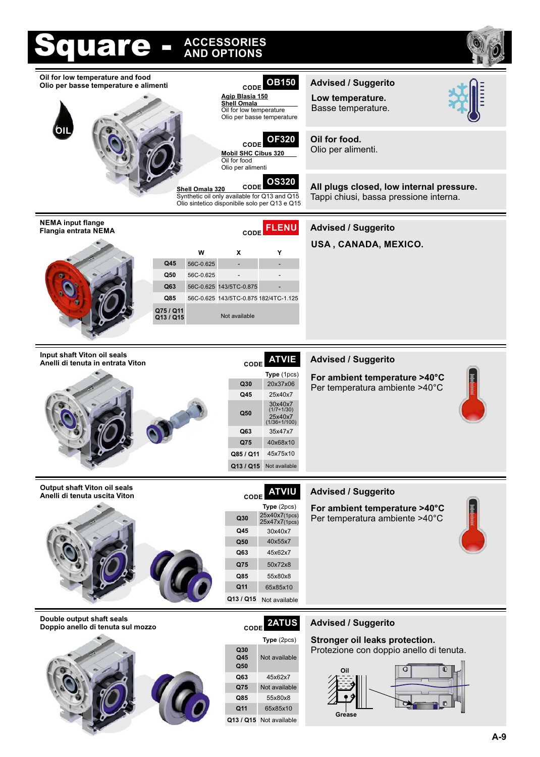| iquare -                                                                                               | <b>ACCESSORIES</b><br><b>AND OPTIONS</b>                                                                                                                                                                                                  |                                                                                                                          |
|--------------------------------------------------------------------------------------------------------|-------------------------------------------------------------------------------------------------------------------------------------------------------------------------------------------------------------------------------------------|--------------------------------------------------------------------------------------------------------------------------|
| Oil for low temperature and food<br>Olio per basse temperature e alimenti                              | <b>OB150</b><br><b>CODE</b><br>Agip Blasia 150<br><b>Shell Omala</b><br>Oil for low temperature<br>Olio per basse temperature                                                                                                             | <b>Advised / Suggerito</b><br>Low temperature.<br>Basse temperature.                                                     |
|                                                                                                        | <b>OF320</b><br>CODE<br><b>Mobil SHC Cibus 320</b><br>Oil for food<br>Olio per alimenti                                                                                                                                                   | Oil for food.<br>Olio per alimenti.                                                                                      |
|                                                                                                        | <b>OS320</b><br>CODE<br>Shell Omala 320<br>Synthetic oil only available for Q13 and Q15<br>Olio sintetico disponibile solo per Q13 e Q15                                                                                                  | All plugs closed, low internal pressure.<br>Tappi chiusi, bassa pressione interna.                                       |
| <b>NEMA input flange</b><br>Flangia entrata NEMA<br>Q45<br>Q50<br>Q63<br>Q85<br>Q75 / Q11<br>Q13 / Q15 | CODE FLENU<br>W<br>X<br>Y<br>56C-0.625<br>56C-0.625<br>56C-0.625 143/5TC-0.875<br>56C-0.625 143/5TC-0.875 182/4TC-1.125<br>Not available                                                                                                  | <b>Advised / Suggerito</b><br>USA, CANADA, MEXICO.                                                                       |
| Input shaft Viton oil seals<br>Anelli di tenuta in entrata Viton                                       | <b>ATVIE</b><br><b>CODE</b><br>Type (1pcs)<br>20x37x06<br>Q30<br>Q45<br>25x40x7<br>30x40x7<br>$(1/7+1/30)$<br>Q50<br>25x40x7<br>(1/36÷1/100)<br>Q63<br>35x47x7<br>40x68x10<br>Q75<br>Q85 / Q11<br>45x75x10<br>Q13 / Q15<br>Not available  | <b>Advised / Suggerito</b><br>For ambient temperature >40°C<br>Per temperatura ambiente >40°C                            |
| <b>Output shaft Viton oil seals</b><br>Anelli di tenuta uscita Viton                                   | <b>ATVIU</b><br>CODE<br><b>Type</b> $(2pcs)$<br>25x40x7(1pcs)<br>Q30<br>25x47x7(1pcs)<br>Q45<br>30x40x7<br>40x55x7<br>Q <sub>50</sub><br>Q63<br>45x62x7<br>Q75<br>50x72x8<br>Q85<br>55x80x8<br>Q11<br>65x85x10<br>Q13 / Q15 Not available | <b>Advised / Suggerito</b><br>For ambient temperature >40°C<br>Per temperatura ambiente >40°C                            |
| Double output shaft seals<br>Doppio anello di tenuta sul mozzo                                         | 2ATUS<br><b>CODE</b><br>Type (2pcs)<br>Q30<br>Q45<br>Not available<br>Q50<br>Q63<br>45x62x7<br>Q75<br>Not available<br>55x80x8<br>Q85<br>Q11<br>65x85x10<br>Q13 / Q15 Not available                                                       | <b>Advised / Suggerito</b><br>Stronger oil leaks protection.<br>Protezione con doppio anello di tenuta.<br>Oil<br>Grease |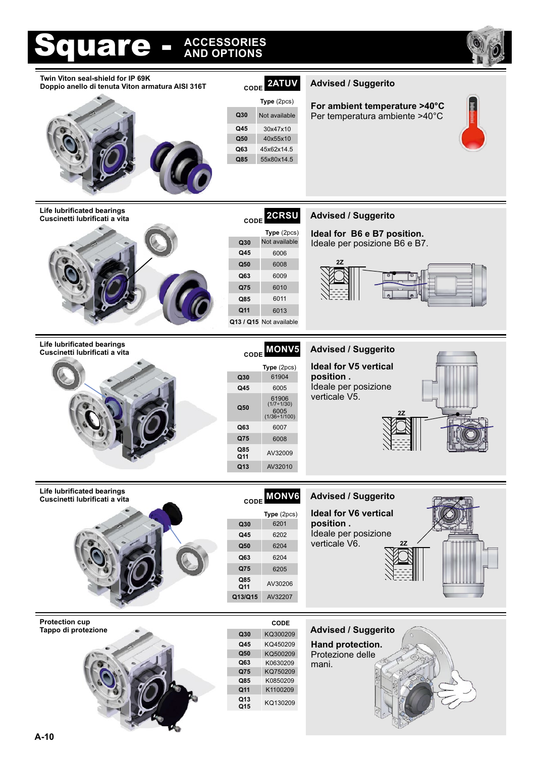#### **CODE Advised / Suggerito Life lubrificated bearings 2CRSU Cuscinetti lubrificati a vita** 6006 **Type** (2pcs) 6009 **Q30 Q50 Q63 Q75 Q45 Q13 / Q15** Not available 6008 6010 **Q85** 6011 **Ideal for B6 e B7 position.** Ideale per posizione B6 e B7. **2Z Q11** 6013 Square - **AND OPTIONS ACCESSORIES Q75** 6008 **Q63** 6204 **Q75** 6205 **CODE Advised / Suggerito** 6202 6201 **Type** (2pcs) AV32207 **Q30 Q50 Q13/Q15 Q45** 6204 **CODE Advised / Suggerito** 6005 6005<br>(1/36÷1/100) 61904 **Type** (2pcs) 6007 **Q30 Q50 Q63 Q45** (1/7÷1/30) 61906 **Life lubrificated bearings Cuscinetti lubrificati a vita Life lubrificated bearings Cuscinetti lubrificati a vita Q13** AV32010 **Ideal for V5 vertical position .** Ideale per posizione verticale V5. **Ideal for V6 vertical position .** Ideale per posizione verticale V6. **2Z Q11 Q85** AV30206 **Q11 Q85** AV32009 **MONV6 MONV5 For ambient temperature >40°C** Per temperatura ambiente >40°C **CODE 2ATUV Advised / Suggerito Twin Viton seal-shield for IP 69K Doppio anello di tenuta Viton armatura AISI 316T Q85** 55x80x14.5 **Q45** 30x47x10 **Type** (2pcs) **Q30 Q50** 40x55x10 **Q63** 45x62x14.5 KQ450209 **CODE** KQ750209 **Q45 Q15 Q50 Q75 Q85** KQ500209 K0850209 **Protection cup Tappo di protezione alle constitutione di constitutione di constitutione di constitutione di constitutione di constitutione di constitutione di constitutione di constitutione di constitutione di constitutione di constit Q63** K0630209 **Advised / Suggerito Hand protection.** Protezione delle mani. **Q11** K1100209 **Q13** KQ130209 Not available Not available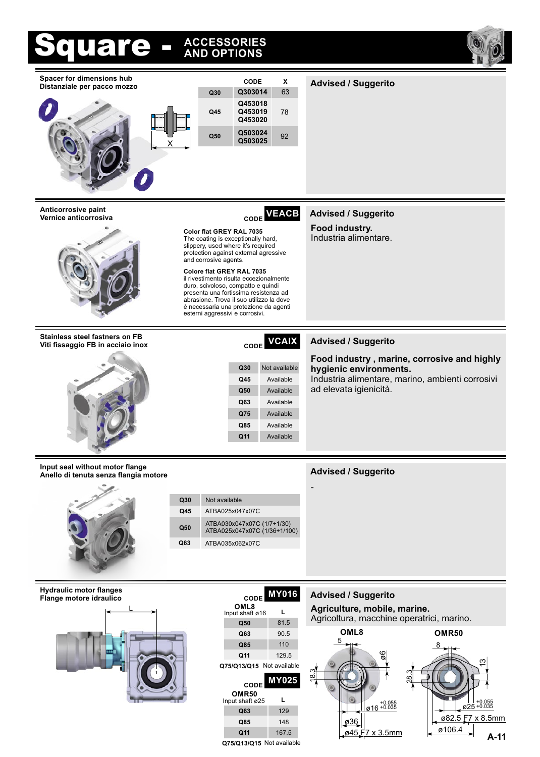



Q75/Q13/Q15 Not available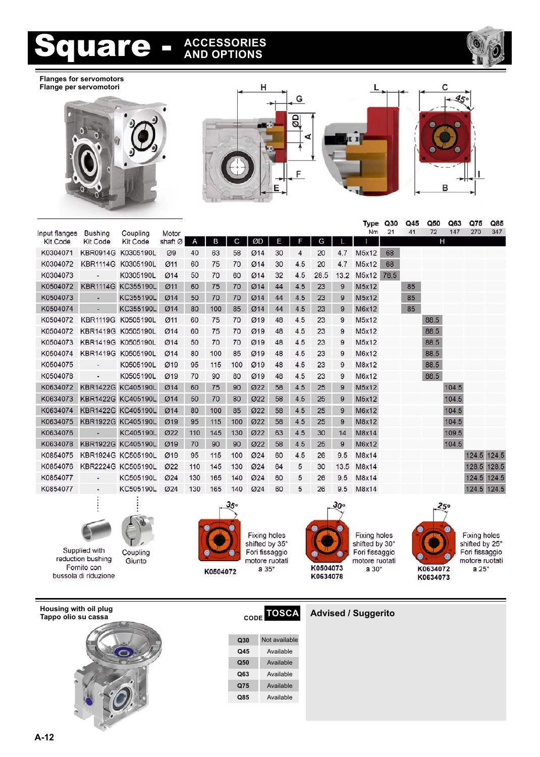

**Flanges for servomotors Flange per servomotori**





|               |                          |                    |            |     |     |     |            |    |     |      |      | Type  | Q30  | Q45 | Q50  | Q63   | Q75         | Q85   |
|---------------|--------------------------|--------------------|------------|-----|-----|-----|------------|----|-----|------|------|-------|------|-----|------|-------|-------------|-------|
| Input flanges | <b>Bushing</b>           | Coupling           | Motor      |     |     |     |            |    |     |      |      | Nm    | 21   | 41  | 72   | 147   | 270         | 347   |
| Kit Code      | Kit Code                 | Kit Code           | shaft Ø    | A   | B   | C   | ØD         | Ε  | F   | G    |      |       |      |     | H    |       |             |       |
| K0304071      | <b>KBR0914G</b>          | K0305190L          | Ø9         | 40  | 63  | 58  | Ø14        | 30 | 4   | 20   | 4.7  | M5x12 | 68   |     |      |       |             |       |
| K0304072      | <b>KBR1114G</b>          | K0305190L          | Ø11        | 60  | 75  | 70  | Ø14        | 30 | 4.5 | 20   | 4.7  | M5x12 | 68   |     |      |       |             |       |
| K0304073      |                          | K0305190L          | Ø14        | 50  | 70  | 60  | Ø14        | 32 | 4.5 | 28.5 | 13.2 | M5x12 | 76.5 |     |      |       |             |       |
| K0504072      | <b>KBR1114G</b>          | KC355190L          | Ø11        | 60  | 75  | 70  | <b>Ø14</b> | 44 | 4.5 | 23   | 9    | M5x12 |      | 85  |      |       |             |       |
| K0504073      |                          | KC355190L          | Ø14        | 50  | 70  | 70  | <b>Ø14</b> | 44 | 4.5 | 23   | 9    | M5x12 |      | 85  |      |       |             |       |
| K0504074      | ×.                       | KC355190L          | Ø14        | 80  | 100 | 85  | Ø14        | 44 | 4.5 | 23   | 9    | M6x12 |      | 85  |      |       |             |       |
| K0504072      | <b>KBR1119G</b>          | K0505190L          | Ø11        | 60  | 75  | 70  | Ø19        | 48 | 4.5 | 23   | 9    | M5x12 |      |     | 88.5 |       |             |       |
| K0504072      |                          | KBR1419G K0505190L | Ø14        | 60  | 75  | 70  | Ø19        | 48 | 4.5 | 23   | 9    | M5x12 |      |     | 88.5 |       |             |       |
| K0504073      |                          | KBR1419G K0505190L | Ø14        | 50  | 70  | 70  | Ø19        | 48 | 4.5 | 23   | 9    | M5x12 |      |     | 88.5 |       |             |       |
| K0504074      | <b>KBR1419G</b>          | K0505190L          | Ø14        | 80  | 100 | 85  | Ø19        | 48 | 4.5 | 23   | 9    | M6x12 |      |     | 88.5 |       |             |       |
| K0504075      | $\overline{\phantom{a}}$ | K0505190L          | Ø19        | 95  | 115 | 100 | Ø19        | 48 | 4.5 | 23   | 9    | M8x12 |      |     | 88.5 |       |             |       |
| K0504078      | ٠                        | K0505190L          | Ø19        | 70  | 90  | 80  | Ø19        | 48 | 4.5 | 23   | 9    | M6x12 |      |     | 88.5 |       |             |       |
| K0634072      |                          | KBR1422G KC405190L | Ø14        | 60  | 75  | 90  | 022        | 58 | 4.5 | 25   | 9    | M5x12 |      |     |      | 104.5 |             |       |
| K0634073      |                          | KBR1422G KC405190L | Ø14        | 50  | 70  | 80  | 022        | 58 | 4.5 | 25   | 9    | M5x12 |      |     |      | 104.5 |             |       |
| K0634074      |                          | KBR1422G KC405190L | Ø14        | 80  | 100 | 85  | 022        | 58 | 4.5 | 25   | 9    | M6x12 |      |     |      | 104.5 |             |       |
| K0634075      |                          | KBR1922G KC405190L | Ø19        | 95  | 115 | 100 | 022        | 58 | 4.5 | 25   | 9    | M8x12 |      |     |      | 104.5 |             |       |
| K0634076      |                          | KC405190L          | <b>Ø22</b> | 110 | 145 | 130 | <b>Ø22</b> | 63 | 4.5 | 30   | 14   | M8x14 |      |     |      | 109.5 |             |       |
| K0634078      |                          | KBR1922G KC405190L | Ø19        | 70  | 90  | 90  | Ø22        | 58 | 4.5 | 25   | 9    | M6x12 |      |     |      | 104.5 |             |       |
| K0854075      |                          | KBR1924G KC505190L | Ø19        | 95  | 115 | 100 | 024        | 60 | 4.5 | 26   | 9.5  | M8x14 |      |     |      |       | 124.5 124.5 |       |
| K0854076      |                          | KBR2224G KC505190L | 022        | 110 | 145 | 130 | 024        | 64 | 5   | 30   | 13.5 | M8x14 |      |     |      |       | 128.5       | 128.5 |
| K0854077      |                          | KC505190L          | 024        | 130 | 165 | 140 | 024        | 60 | 5   | 26   | 9.5  | M8x14 |      |     |      |       | 124.5       | 124.5 |
| K0854077      | ٠                        | KC505190L          | <b>Ø24</b> | 130 | 165 | 140 | <b>Ø24</b> | 60 | 5   | 26   | 9.5  | M8x14 |      |     |      |       | 124.5       | 124.5 |
|               | ٠                        | ٠                  |            |     |     |     |            |    |     |      |      |       |      |     |      |       |             |       |



Supplied with<br>reduction bushing Fornito con bussola di riduzione

Coupling Giunto



Fixing holes<br>shifted by 35° Fori fissaggio motore ruotati a 35°



Fixing holes<br>shifted by 30° Fori fissaggio motore ruotati a  $30^\circ$ 



Fixing holes<br>shifted by 25° Fori fissaggio motore ruotati a 25 $^{\circ}$ 

**Housing with oil plug Tappo olio su cassa CODE TOSCA Advised / Suggerito**



| Q30 | Not available |
|-----|---------------|
| Q45 | Available     |
| Q50 | Available     |
| Q63 | Available     |
| Q75 | Available     |
| Q85 | Available     |
|     |               |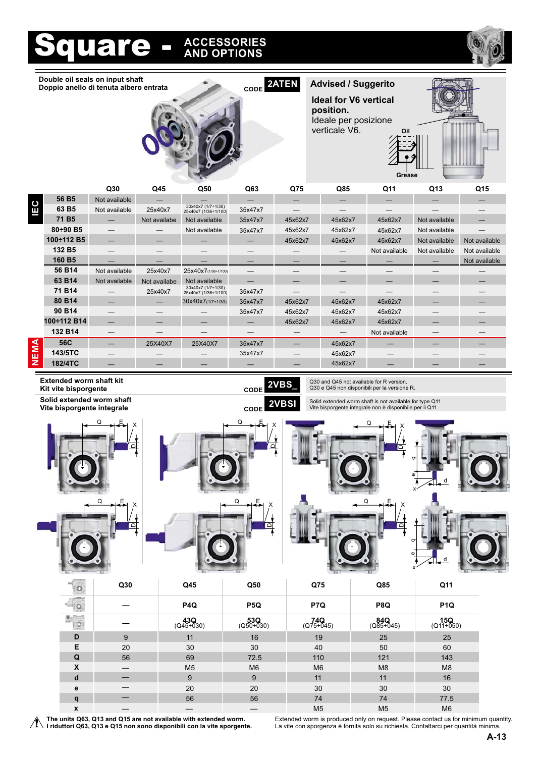

**Double oil seals on input shaft Doppio anello di tenuta albero entrata**



**CODE Advised / Suggerito 2ATEN Ideal for V6 vertical position.** Ideale per posizione verticale V6.



|     |                   | Q30           | Q45          | Q50                                        | Q63     | Q75     | Q85     | Q11           | Q13           | Q15           |
|-----|-------------------|---------------|--------------|--------------------------------------------|---------|---------|---------|---------------|---------------|---------------|
|     | 56 B <sub>5</sub> | Not available |              |                                            |         |         |         |               |               |               |
| Щ   | 63 B <sub>5</sub> | Not available | 25x40x7      | 30x40x7 (1/7+1/30)<br>25x40x7 (1/36+1/100) | 35x47x7 |         |         |               |               |               |
|     | 71 B <sub>5</sub> |               | Not availabe | Not available                              | 35x47x7 | 45x62x7 | 45x62x7 | 45x62x7       | Not available |               |
|     | 80÷90 B5          |               |              | Not available                              | 35x47x7 | 45x62x7 | 45x62x7 | 45x62x7       | Not available |               |
|     | 100÷112 B5        |               |              |                                            |         | 45x62x7 | 45x62x7 | 45x62x7       | Not available | Not available |
|     | 132 B5            |               |              |                                            |         |         |         | Not available | Not available | Not available |
|     | 160 B5            |               |              |                                            |         |         |         |               |               | Not available |
|     | 56 B14            | Not available | 25x40x7      | 25x40x7(1/36+1/100)                        | —       |         |         |               |               |               |
|     | 63 B14            | Not available | Not availabe | Not available                              |         |         |         |               |               |               |
|     | 71 B14            |               | 25x40x7      | 30x40x7 (1/7+1/30)<br>25x40x7 (1/36+1/100) | 35x47x7 |         |         |               |               |               |
|     | 80 B14            |               |              | 30x40x7(1/7+1/30)                          | 35x47x7 | 45x62x7 | 45x62x7 | 45x62x7       |               |               |
|     | 90 B14            |               |              |                                            | 35x47x7 | 45x62x7 | 45x62x7 | 45x62x7       |               |               |
|     | 100÷112 B14       |               |              |                                            |         | 45x62x7 | 45x62x7 | 45x62x7       |               |               |
|     | 132 B14           |               |              |                                            |         |         |         | Not available | –             |               |
|     | 56C               |               | 25X40X7      | 25X40X7                                    | 35x47x7 |         | 45x62x7 |               |               |               |
| EMA | 143/5TC           |               |              |                                            | 35x47x7 |         | 45x62x7 |               |               |               |
| z   | 182/4TC           |               |              |                                            |         |         | 45x62x7 |               |               |               |
|     |                   |               |              |                                            |         |         |         |               |               |               |

**Extended worm shaft kit Kit vite bisporgente CODE 2VBS\_**

**Solid extended worm shaft Vite bisporgente integrale CODE 2VBSI**





Q \_\_E





Q \_\_E

Solid extended worm shaft is not available for type Q11. Vite bisporgente integrale non è disponibile per il Q11.

Q30 and Q45 not available for R version. Q30 e Q45 non disponibili per la versione R.

e

x





**Q75 Q30 Q45 Q50 Q85 Q11 P7Q — P4Q P5Q P8Q P1Q 43Q** (Q45+030) **74Q** (Q75+045) **15Q** (Q11+050) **53Q** (Q50+030) **84Q** (Q85+045)  $\overline{Q}$ **—** 19 **D** 9 11 16 19 25 25 40 **E** 20 30 30 40 50 60 110 **Q** 56 69 72.5 110 121 143 M6  $\textsf{\textbf{X}}$  , and  $\textsf{\textbf{X}}$  , and  $\textsf{\textbf{M}}$  , and  $\textsf{\textbf{M}}$  , and  $\textsf{\textbf{M}}$  , and  $\textsf{\textbf{M}}$  , and  $\textsf{\textbf{M}}$  , and  $\textsf{\textbf{M}}$  , and  $\textsf{\textbf{M}}$  , and  $\textsf{\textbf{M}}$  , and  $\textsf{\textbf{M}}$  , and  $\textsf{\textbf{M}}$  , and  $\textsf{\$ — 11 **d** 9 9 11 16 — 30 **e** 20 20 30 30 — 74 **q** 74 74 77.5 M5 **x** — — — — — M5 M5 M6 M6 —

**The units Q63, Q13 and Q15 are not available with extended worm. I'll riduttori Q63, Q13 e Q15 non sono disponibili con la vite sporgente.** 

Extended worm is produced only on request. Please contact us for minimum quantity. La vite con sporgenza è fornita solo su richiesta. Contattarci per quantità minima.